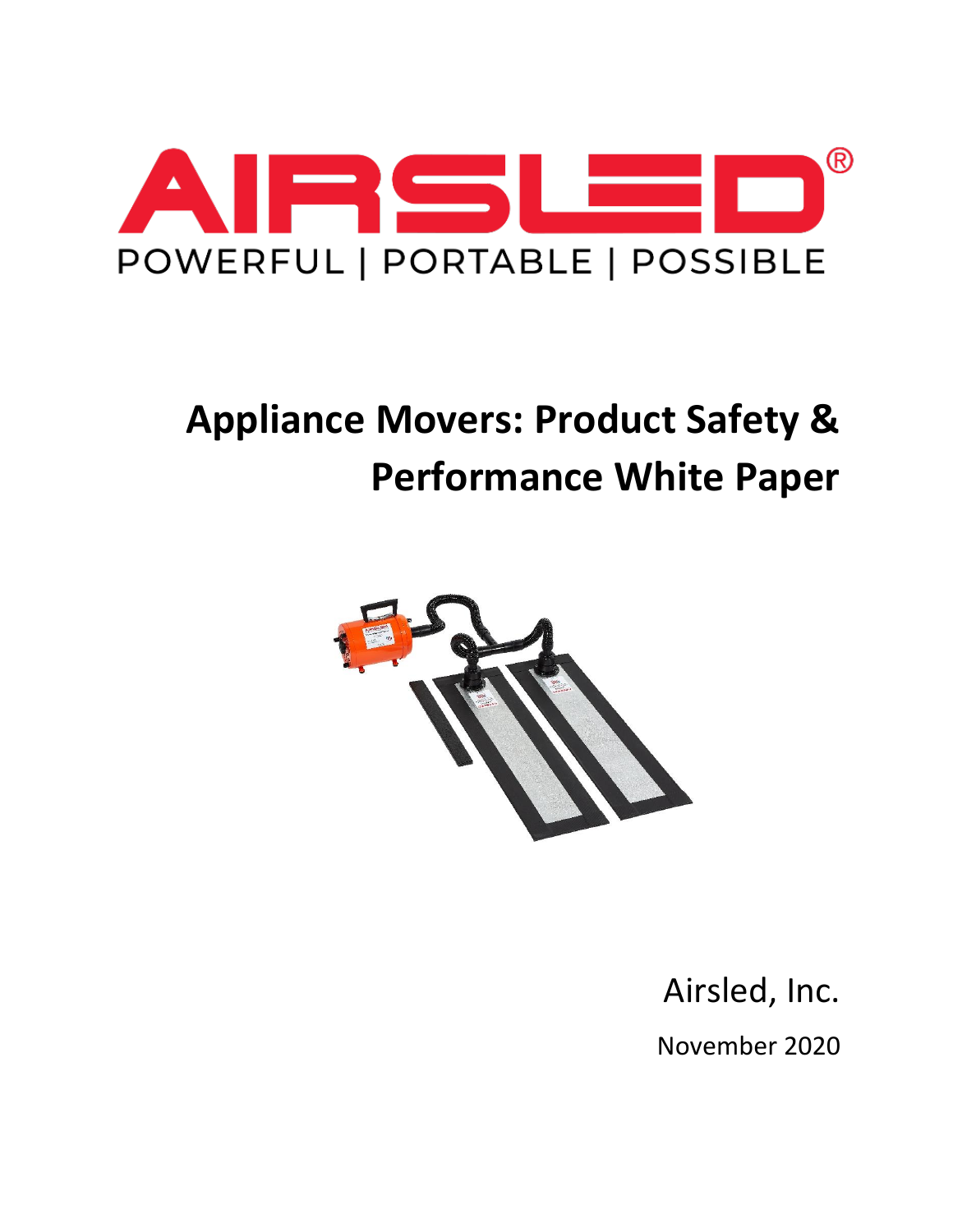

# **Appliance Movers: Product Safety & Performance White Paper**



Airsled, Inc. November 2020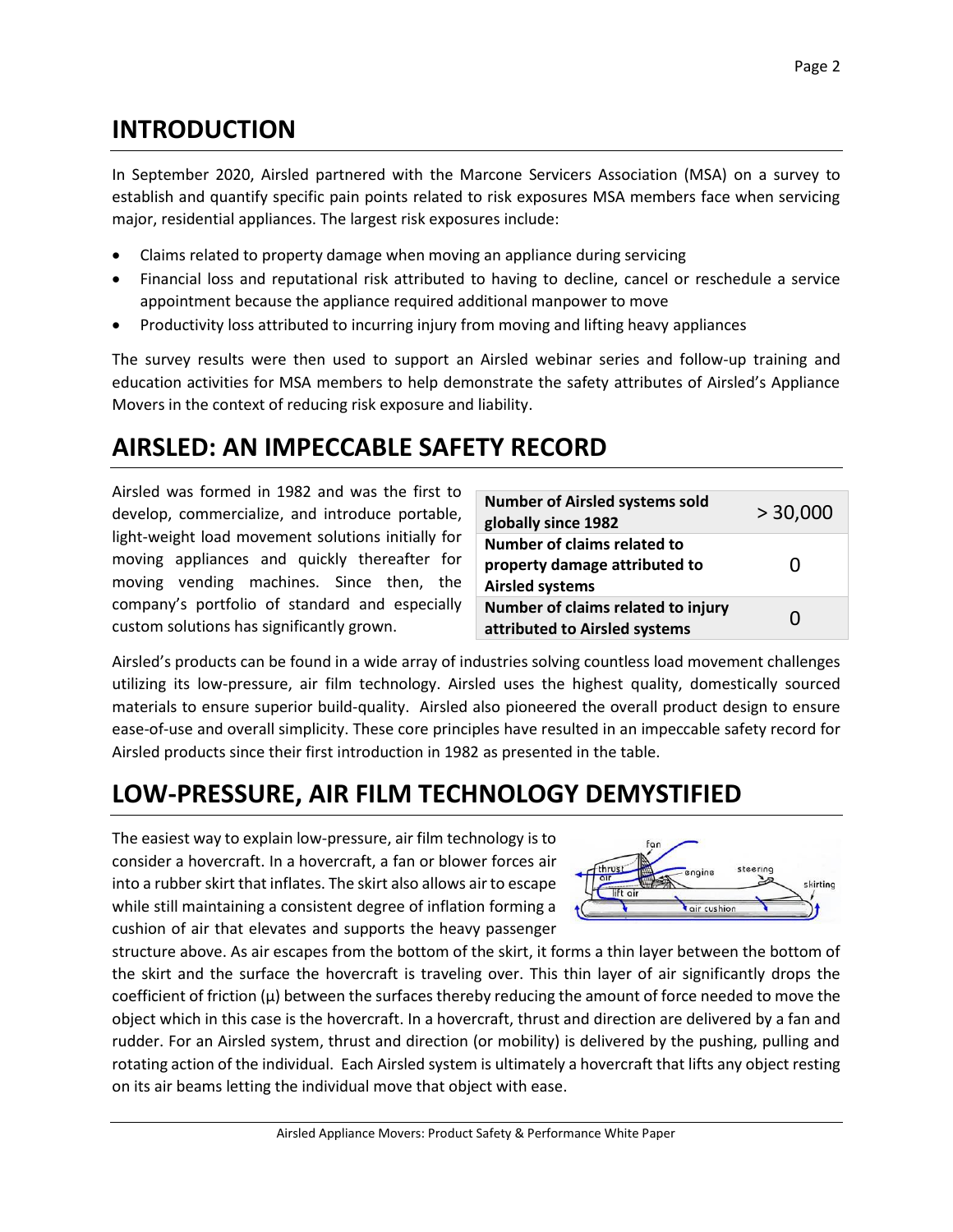#### **INTRODUCTION**

In September 2020, Airsled partnered with the Marcone Servicers Association (MSA) on a survey to establish and quantify specific pain points related to risk exposures MSA members face when servicing major, residential appliances. The largest risk exposures include:

- Claims related to property damage when moving an appliance during servicing
- Financial loss and reputational risk attributed to having to decline, cancel or reschedule a service appointment because the appliance required additional manpower to move
- Productivity loss attributed to incurring injury from moving and lifting heavy appliances

The survey results were then used to support an Airsled webinar series and follow-up training and education activities for MSA members to help demonstrate the safety attributes of Airsled's Appliance Movers in the context of reducing risk exposure and liability.

## **AIRSLED: AN IMPECCABLE SAFETY RECORD**

Airsled was formed in 1982 and was the first to develop, commercialize, and introduce portable, light-weight load movement solutions initially for moving appliances and quickly thereafter for moving vending machines. Since then, the company's portfolio of standard and especially custom solutions has significantly grown.

| <b>Number of Airsled systems sold</b><br>globally since 1982                           | > 30,000 |
|----------------------------------------------------------------------------------------|----------|
| Number of claims related to<br>property damage attributed to<br><b>Airsled systems</b> | 0        |
| Number of claims related to injury<br>attributed to Airsled systems                    | 0        |

Airsled's products can be found in a wide array of industries solving countless load movement challenges utilizing its low-pressure, air film technology. Airsled uses the highest quality, domestically sourced materials to ensure superior build-quality. Airsled also pioneered the overall product design to ensure ease-of-use and overall simplicity. These core principles have resulted in an impeccable safety record for Airsled products since their first introduction in 1982 as presented in the table.

## **LOW-PRESSURE, AIR FILM TECHNOLOGY DEMYSTIFIED**

The easiest way to explain low-pressure, air film technology is to consider a hovercraft. In a hovercraft, a fan or blower forces air into a rubber skirt that inflates. The skirt also allows air to escape while still maintaining a consistent degree of inflation forming a cushion of air that elevates and supports the heavy passenger



structure above. As air escapes from the bottom of the skirt, it forms a thin layer between the bottom of the skirt and the surface the hovercraft is traveling over. This thin layer of air significantly drops the coefficient of friction  $(\mu)$  between the surfaces thereby reducing the amount of force needed to move the object which in this case is the hovercraft. In a hovercraft, thrust and direction are delivered by a fan and rudder. For an Airsled system, thrust and direction (or mobility) is delivered by the pushing, pulling and rotating action of the individual. Each Airsled system is ultimately a hovercraft that lifts any object resting on its air beams letting the individual move that object with ease.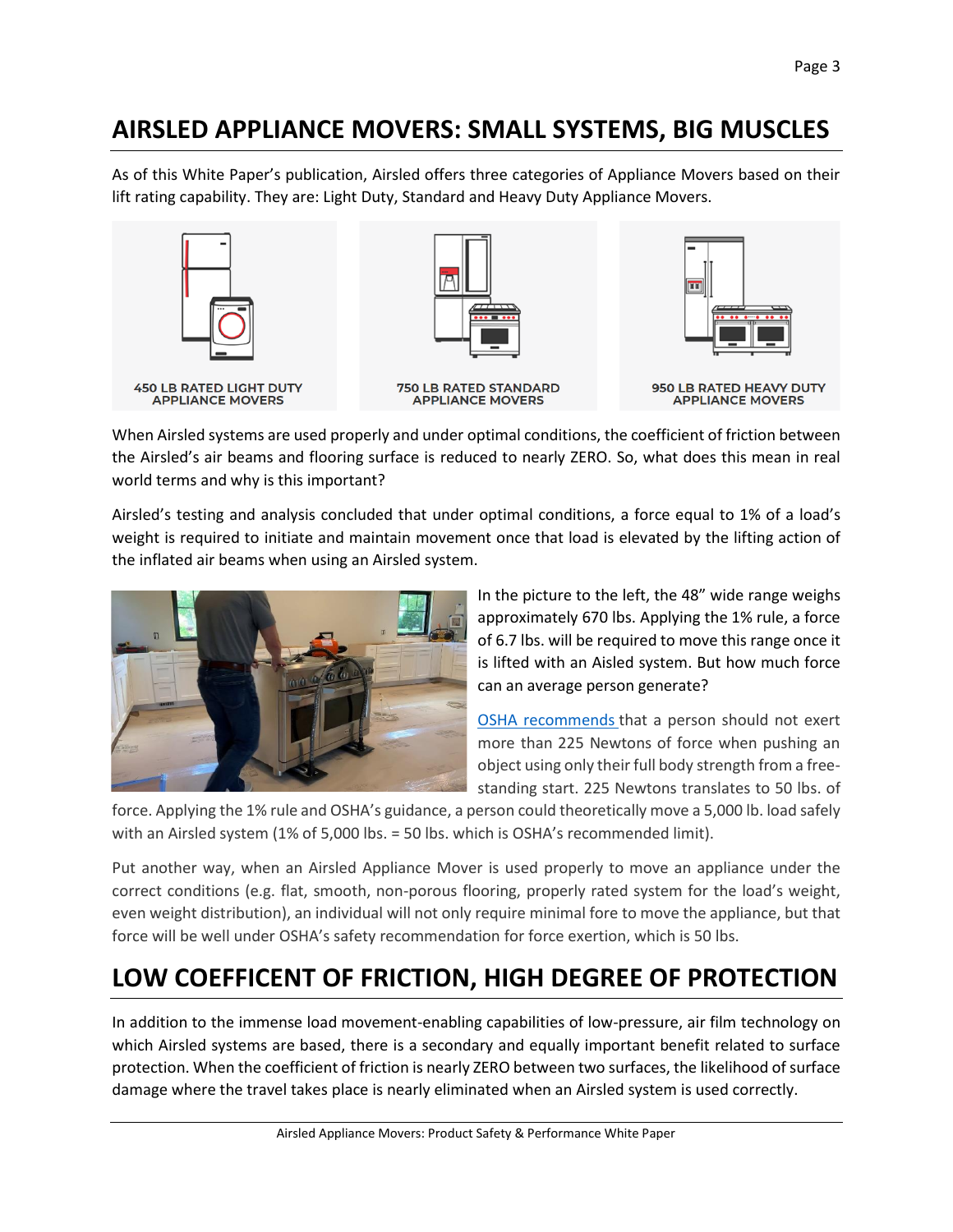#### **AIRSLED APPLIANCE MOVERS: SMALL SYSTEMS, BIG MUSCLES**

As of this White Paper's publication, Airsled offers three categories of Appliance Movers based on their lift rating capability. They are: Light Duty, Standard and Heavy Duty Appliance Movers.





**750 LB RATED STANDARD<br>APPLIANCE MOVERS** 



When Airsled systems are used properly and under optimal conditions, the coefficient of friction between the Airsled's air beams and flooring surface is reduced to nearly ZERO. So, what does this mean in real world terms and why is this important?

Airsled's testing and analysis concluded that under optimal conditions, a force equal to 1% of a load's weight is required to initiate and maintain movement once that load is elevated by the lifting action of the inflated air beams when using an Airsled system.



In the picture to the left, the 48" wide range weighs approximately 670 lbs. Applying the 1% rule, a force of 6.7 lbs. will be required to move this range once it is lifted with an Aisled system. But how much force can an average person generate?

OSHA [recommends](https://www.ccohs.ca/oshanswers/ergonomics/push1.html) that a person should not exert more than 225 Newtons of force when pushing an object using only their full body strength from a freestanding start. 225 Newtons translates to 50 lbs. of

force. Applying the 1% rule and OSHA's guidance, a person could theoretically move a 5,000 lb. load safely with an Airsled system (1% of 5,000 lbs. = 50 lbs. which is OSHA's recommended limit).

Put another way, when an Airsled Appliance Mover is used properly to move an appliance under the correct conditions (e.g. flat, smooth, non-porous flooring, properly rated system for the load's weight, even weight distribution), an individual will not only require minimal fore to move the appliance, but that force will be well under OSHA's safety recommendation for force exertion, which is 50 lbs.

## **LOW COEFFICENT OF FRICTION, HIGH DEGREE OF PROTECTION**

In addition to the immense load movement-enabling capabilities of low-pressure, air film technology on which Airsled systems are based, there is a secondary and equally important benefit related to surface protection. When the coefficient of friction is nearly ZERO between two surfaces, the likelihood of surface damage where the travel takes place is nearly eliminated when an Airsled system is used correctly.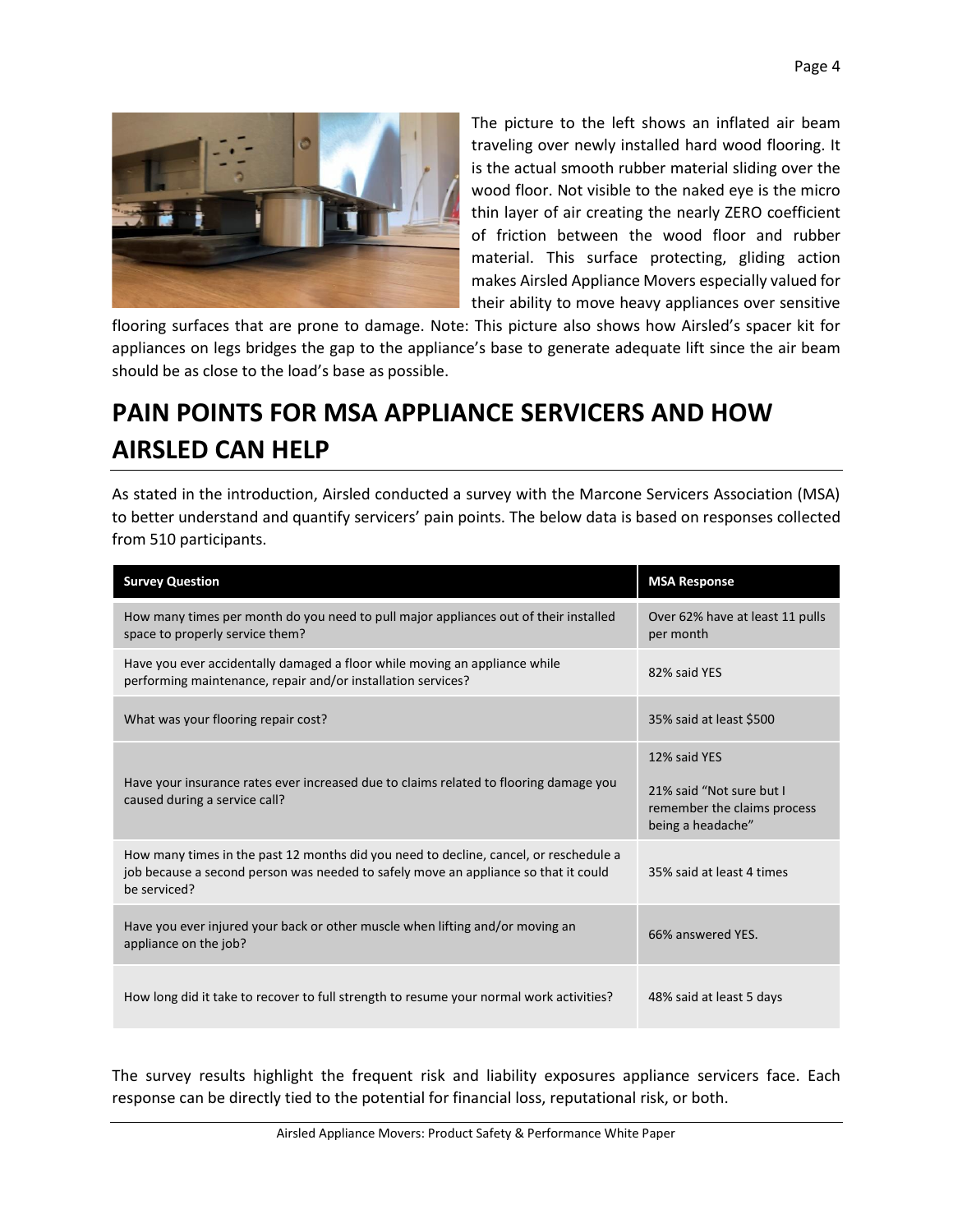

The picture to the left shows an inflated air beam traveling over newly installed hard wood flooring. It is the actual smooth rubber material sliding over the wood floor. Not visible to the naked eye is the micro thin layer of air creating the nearly ZERO coefficient of friction between the wood floor and rubber material. This surface protecting, gliding action makes Airsled Appliance Movers especially valued for their ability to move heavy appliances over sensitive

flooring surfaces that are prone to damage. Note: This picture also shows how Airsled's spacer kit for appliances on legs bridges the gap to the appliance's base to generate adequate lift since the air beam should be as close to the load's base as possible.

# **PAIN POINTS FOR MSA APPLIANCE SERVICERS AND HOW AIRSLED CAN HELP**

As stated in the introduction, Airsled conducted a survey with the Marcone Servicers Association (MSA) to better understand and quantify servicers' pain points. The below data is based on responses collected from 510 participants.

| <b>Survey Question</b>                                                                                                                                                                       | <b>MSA Response</b>                                                                          |
|----------------------------------------------------------------------------------------------------------------------------------------------------------------------------------------------|----------------------------------------------------------------------------------------------|
| How many times per month do you need to pull major appliances out of their installed<br>space to properly service them?                                                                      | Over 62% have at least 11 pulls<br>per month                                                 |
| Have you ever accidentally damaged a floor while moving an appliance while<br>performing maintenance, repair and/or installation services?                                                   | 82% said YES                                                                                 |
| What was your flooring repair cost?                                                                                                                                                          | 35% said at least \$500                                                                      |
| Have your insurance rates ever increased due to claims related to flooring damage you<br>caused during a service call?                                                                       | 12% said YES<br>21% said "Not sure but I<br>remember the claims process<br>being a headache" |
| How many times in the past 12 months did you need to decline, cancel, or reschedule a<br>job because a second person was needed to safely move an appliance so that it could<br>be serviced? | 35% said at least 4 times                                                                    |
| Have you ever injured your back or other muscle when lifting and/or moving an<br>appliance on the job?                                                                                       | 66% answered YES.                                                                            |
| How long did it take to recover to full strength to resume your normal work activities?                                                                                                      | 48% said at least 5 days                                                                     |

The survey results highlight the frequent risk and liability exposures appliance servicers face. Each response can be directly tied to the potential for financial loss, reputational risk, or both.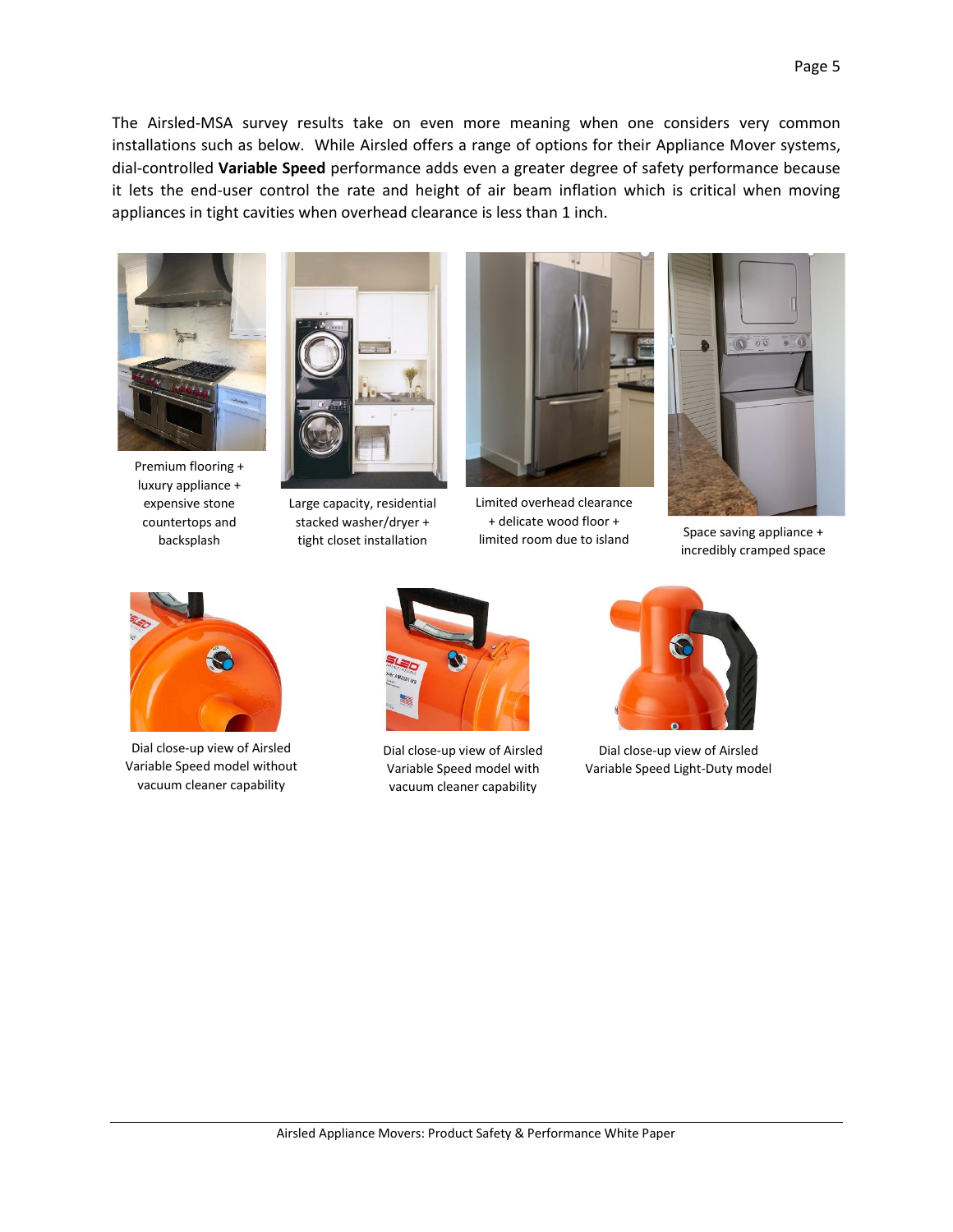The Airsled-MSA survey results take on even more meaning when one considers very common installations such as below. While Airsled offers a range of options for their Appliance Mover systems, dial-controlled **Variable Speed** performance adds even a greater degree of safety performance because it lets the end-user control the rate and height of air beam inflation which is critical when moving appliances in tight cavities when overhead clearance is less than 1 inch.



Premium flooring + luxury appliance + expensive stone countertops and backsplash



Large capacity, residential stacked washer/dryer + tight closet installation



Limited overhead clearance + delicate wood floor + limited room due to island<br>limited room due to island



incredibly cramped space



Dial close-up view of Airsled Variable Speed model without vacuum cleaner capability



Dial close-up view of Airsled Variable Speed model with vacuum cleaner capability



Dial close-up view of Airsled Variable Speed Light-Duty model